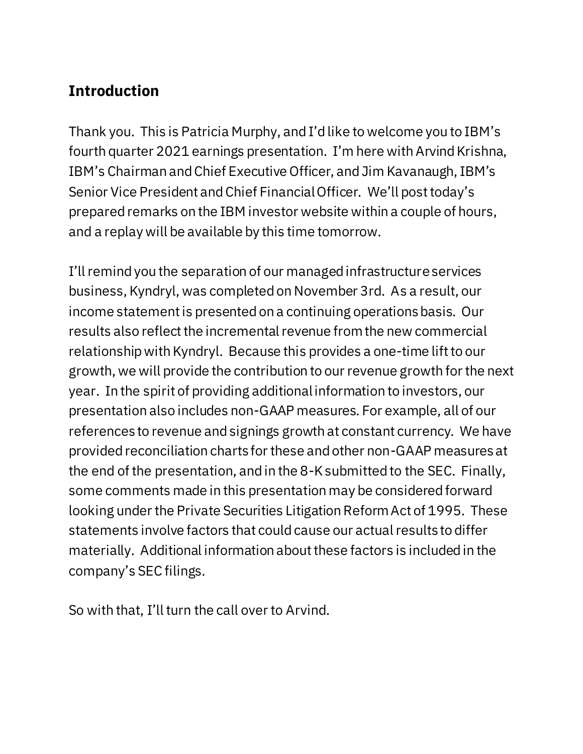## **Introduction**

Thank you. This is Patricia Murphy, and I'd like to welcome you to IBM's fourth quarter 2021 earnings presentation. I'm here with Arvind Krishna, IBM's Chairman and Chief Executive Officer, and Jim Kavanaugh, IBM's Senior Vice President and Chief Financial Officer. We'll post today's prepared remarks on the IBM investor website within a couple of hours, and a replay will be available by this time tomorrow.

I'll remind you the separation of our managed infrastructure services business, Kyndryl, was completed on November 3rd. As a result, our income statement is presented on a continuing operations basis. Our results also reflect the incremental revenue from the new commercial relationship with Kyndryl. Because this provides a one-time lift to our growth, we will provide the contribution to our revenue growth for the next year. In the spirit of providing additional information to investors, our presentation also includes non-GAAP measures. For example, all of our references to revenue and signings growth at constant currency. We have provided reconciliation charts for these and other non-GAAP measures at the end of the presentation, and in the 8-K submitted to the SEC. Finally, some comments made in this presentation may be considered forward looking under the Private Securities Litigation Reform Act of 1995. These statements involve factors that could cause our actual results to differ materially. Additional information about these factors is included in the company's SEC filings.

So with that, I'll turn the call over to Arvind.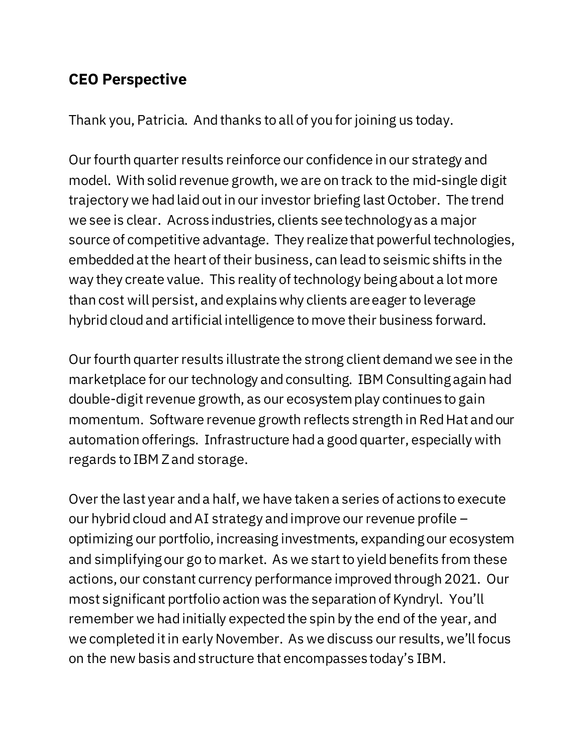#### **CEO Perspective**

Thank you, Patricia. And thanks to all of you for joining us today.

Our fourth quarter results reinforce our confidence in our strategy and model. With solid revenue growth, we are on track to the mid-single digit trajectory we had laid out in our investor briefing last October. The trend we see is clear. Across industries, clients see technology as a major source of competitive advantage. They realize that powerful technologies, embedded at the heart of their business, can lead to seismic shifts in the way they create value. This reality of technology being about a lot more than cost will persist, andexplains why clients are eager to leverage hybrid cloud and artificial intelligence to move their business forward.

Our fourth quarter results illustrate the strong client demand we see in the marketplace for our technology and consulting. IBM Consulting again had double-digit revenue growth, as our ecosystem play continues to gain momentum. Software revenue growth reflects strength in Red Hat and our automation offerings. Infrastructure had a good quarter, especially with regards to IBM Z and storage.

Over the last year and a half, we have taken a series of actions to execute our hybrid cloud andAI strategy and improve our revenue profile – optimizing our portfolio, increasing investments, expanding our ecosystem and simplifying our go to market. As we start to yield benefits from these actions, our constant currency performance improved through 2021. Our most significant portfolio action was the separation of Kyndryl. You'll remember we had initially expected the spin by the end of the year, and we completed it in early November. As we discuss our results, we'll focus on the new basis and structure that encompasses today's IBM.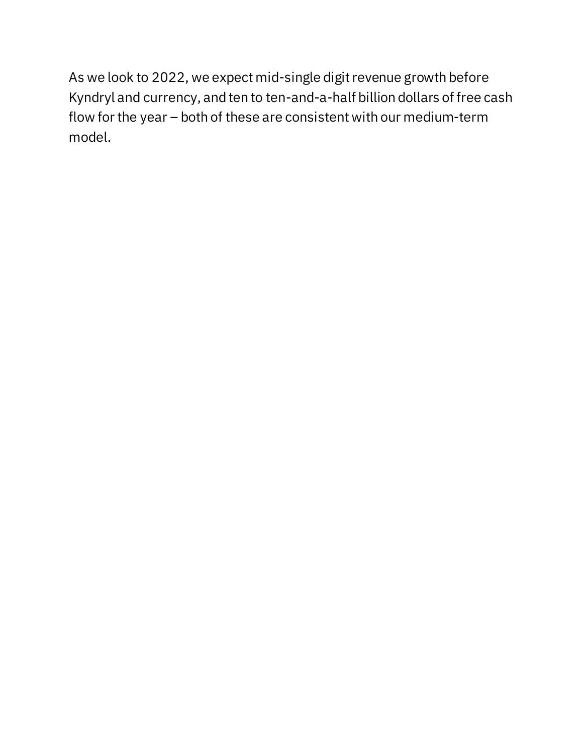As we look to 2022, we expect mid-single digit revenue growth before Kyndryl and currency, and ten to ten-and-a-half billion dollars of free cash flow for the year – both of these are consistent with our medium-term model.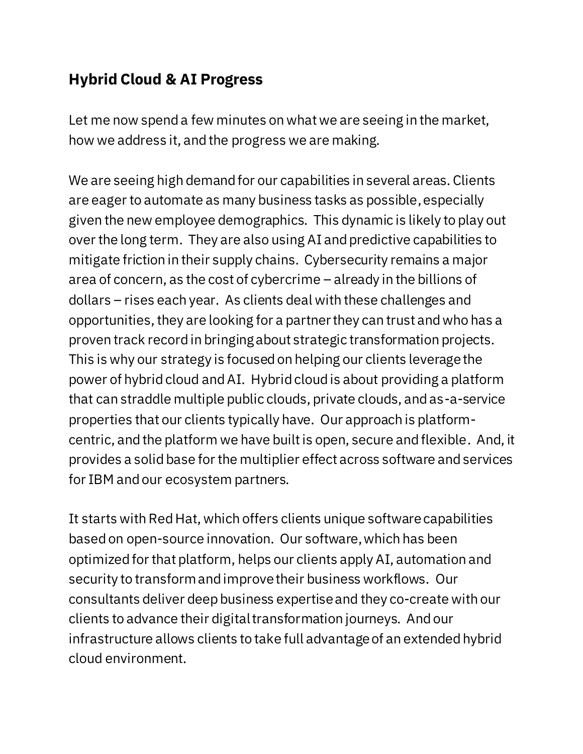## **Hybrid Cloud & AI Progress**

Let me now spend a few minutes on what we are seeing in the market, how we address it, and the progress we are making.

We are seeing high demand for our capabilities in several areas. Clients are eager to automate as many business tasks as possible, especially given the new employee demographics. This dynamic is likely to play out over the long term. They are also using AI and predictive capabilities to mitigate friction in their supply chains. Cybersecurity remains a major area of concern, as the cost of cybercrime – already in the billions of dollars – rises each year. As clients deal with these challenges and opportunities, they are looking for a partner they can trust and who has a proven track record in bringing about strategic transformation projects. This is why our strategy is focused on helping our clients leverage the power of hybrid cloud and AI. Hybrid cloud is about providing a platform that can straddle multiple public clouds, private clouds, and as-a-service properties that our clients typically have. Our approach is platformcentric, and the platform we have built is open, secure and flexible. And, it provides a solid base for the multiplier effect across software and services for IBM and our ecosystem partners.

It starts with Red Hat, which offers clients unique software capabilities based on open-source innovation. Our software,which has been optimized for that platform, helps our clients apply AI, automation and security to transform and improve their business workflows. Our consultants deliver deep business expertise and they co-create with our clients to advance their digital transformation journeys. And our infrastructure allows clients to take full advantage of an extended hybrid cloud environment.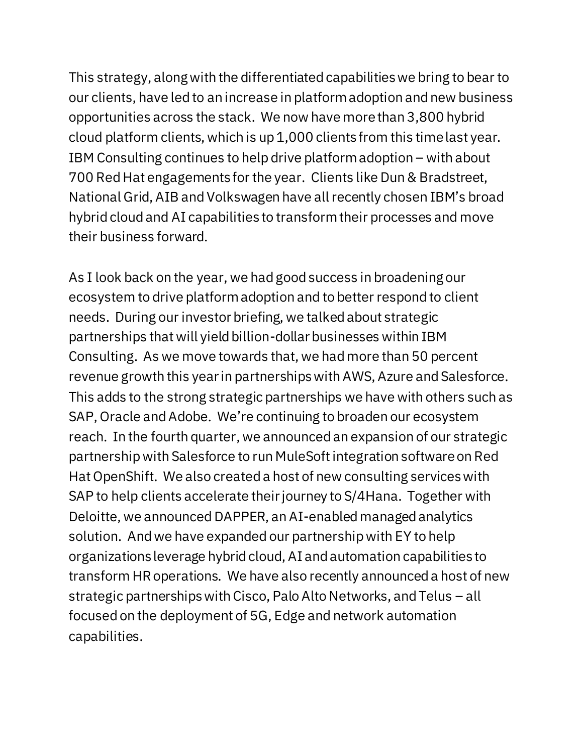This strategy, along with the differentiated capabilities we bring to bear to our clients, have led to an increase in platform adoption and new business opportunities across the stack. We now have more than 3,800 hybrid cloud platform clients, which is up 1,000 clients from this time last year. IBM Consulting continues to help drive platform adoption – with about 700 Red Hat engagements for the year. Clients like Dun & Bradstreet, National Grid, AIB and Volkswagen have all recently chosen IBM's broad hybrid cloud and AI capabilities to transform their processes and move their business forward.

As I look back on the year, we had good success in broadening our ecosystem to drive platform adoption and to better respond to client needs. During our investor briefing, we talked about strategic partnerships that will yield billion-dollar businesses within IBM Consulting. As we move towards that, we had more than 50 percent revenue growth this year in partnerships with AWS, Azure and Salesforce. This adds to the strong strategic partnerships we have with others such as SAP, Oracle and Adobe. We're continuing to broaden our ecosystem reach. In the fourth quarter, we announced an expansion of our strategic partnership with Salesforce to run MuleSoft integration software on Red Hat OpenShift. We also created a host of new consulting services with SAP to help clients accelerate their journey to S/4Hana. Together with Deloitte, we announced DAPPER, an AI-enabled managed analytics solution. And we have expanded our partnership with EY to help organizations leverage hybrid cloud, AI and automation capabilities to transform HR operations. We have also recently announceda host of new strategic partnerships with Cisco, Palo Alto Networks, and Telus – all focused on the deployment of 5G, Edge and network automation capabilities.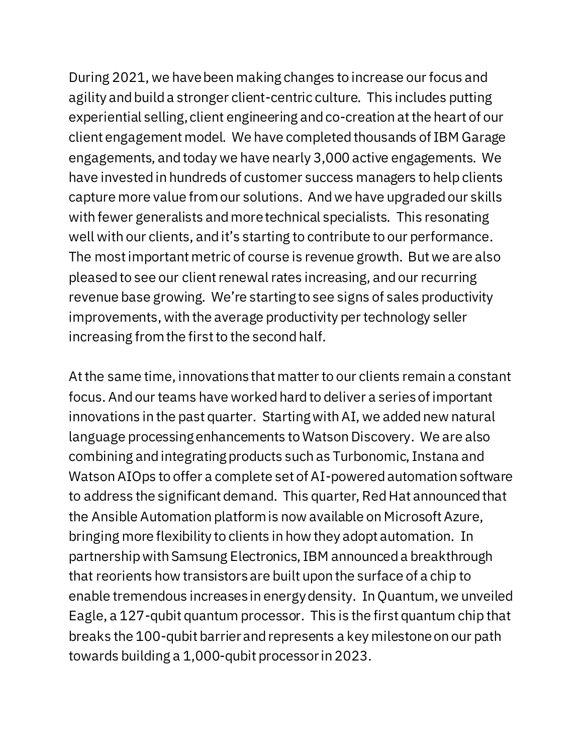During 2021, we have been making changes to increase our focus and agility and build a stronger client-centric culture. This includes putting experiential selling, client engineering and co-creation at the heart of our client engagement model. We have completed thousands of IBM Garage engagements, and today we have nearly 3,000 active engagements. We have invested in hundreds of customer success managers to help clients capture more value from our solutions. And we have upgraded our skills with fewer generalists and more technical specialists. This resonating well with our clients, andit's starting to contribute to our performance. The most important metric of course is revenue growth. But we are also pleased to see our client renewal rates increasing, and our recurring revenue base growing. We're starting to see signs of sales productivity improvements, with the average productivity per technology seller increasing from the first to the second half.

At the same time, innovations that matter to our clients remain a constant focus. And our teams have worked hard to deliver a series of important innovations in the past quarter. Starting with AI, we added new natural language processing enhancements to Watson Discovery. We are also combining and integrating products such as Turbonomic, Instana and Watson AIOps to offer a complete set of AI-powered automation software to address the significant demand. This quarter, Red Hat announced that the Ansible Automation platform is now available on Microsoft Azure, bringing more flexibility to clients in how they adopt automation. In partnership with Samsung Electronics, IBM announced a breakthrough that reorients how transistors are built upon the surface of a chip to enable tremendous increases in energy density. In Quantum, we unveiled Eagle, a 127-qubit quantum processor. This is the first quantum chip that breaks the 100-qubit barrier and represents a key milestone on our path towards building a 1,000-qubit processor in 2023.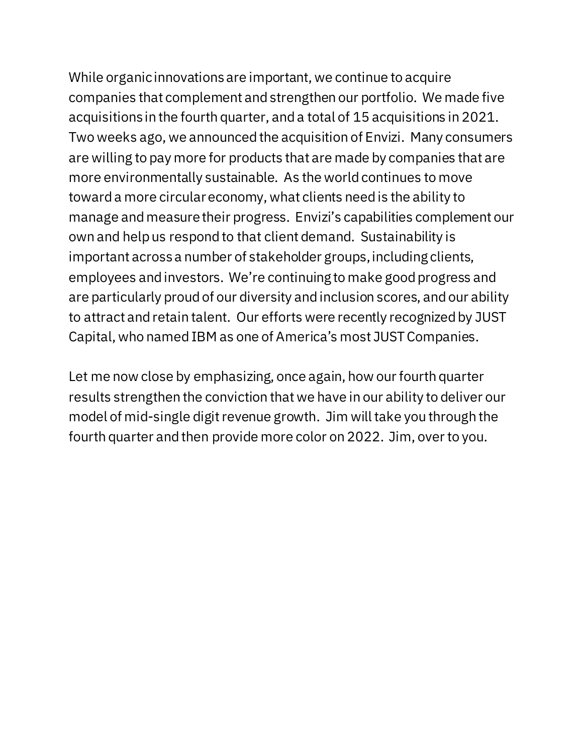While organic innovations are important, we continue to acquire companies that complement and strengthen our portfolio. We made five acquisitions in the fourth quarter, and a total of 15 acquisitions in 2021. Two weeks ago, we announced the acquisition of Envizi. Many consumers are willing to pay more for products that are made by companies that are more environmentally sustainable. As the world continues to move toward a more circular economy, what clients need is the ability to manage and measure their progress. Envizi's capabilities complement our own and help us respond to that client demand. Sustainability is important across a number of stakeholder groups, including clients, employees and investors. We're continuing to make good progress and are particularly proud of our diversity and inclusion scores, and our ability to attract and retain talent. Our efforts were recently recognized by JUST Capital, who named IBM as one of America's most JUST Companies.

Let me now close by emphasizing, once again, how our fourth quarter results strengthen the conviction that we have in our ability to deliver our model of mid-single digit revenue growth. Jim will take you through the fourth quarter and then provide more color on 2022. Jim, over to you.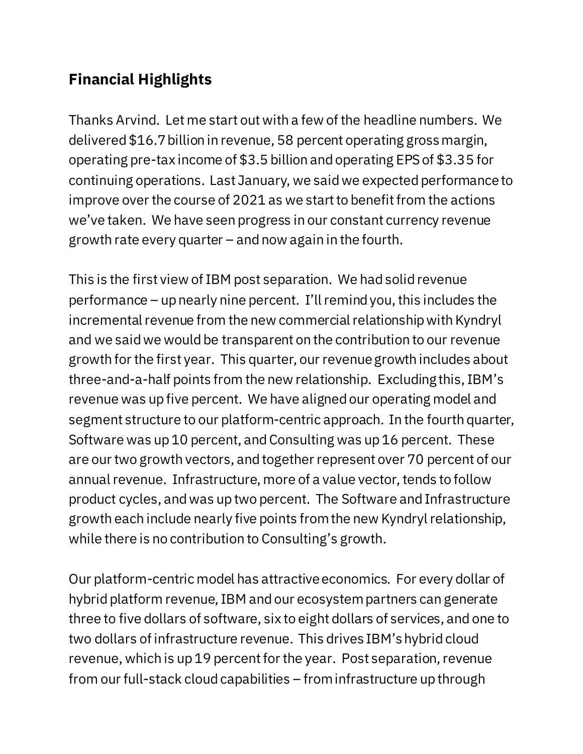# **Financial Highlights**

Thanks Arvind. Let me start out with a few of the headline numbers. We delivered \$16.7 billion in revenue, 58 percent operating gross margin, operating pre-tax income of \$3.5 billion and operating EPS of \$3.35 for continuing operations. Last January, we said we expected performance to improve over the course of 2021 as we start to benefit from the actions we've taken. We have seen progress in our constant currency revenue growth rate every quarter – and now again in the fourth.

This is the first view of IBM post separation. We had solid revenue performance – up nearly nine percent. I'll remind you, this includes the incremental revenue from the new commercial relationship with Kyndryl and we said we would be transparent on the contribution to our revenue growth for the first year. This quarter, our revenue growth includes about three-and-a-half points from the new relationship. Excluding this, IBM's revenue was up five percent. We have aligned our operating model and segment structure to our platform-centric approach. In the fourth quarter, Software was up 10 percent, and Consulting was up 16 percent. These are our two growth vectors, and together represent over 70 percent of our annual revenue. Infrastructure, more of a value vector, tends to follow product cycles, and was up two percent. The Software and Infrastructure growth each include nearly five points fromthe new Kyndryl relationship, while there is no contribution to Consulting's growth.

Our platform-centric model has attractive economics. For every dollar of hybrid platform revenue, IBM and our ecosystem partners can generate three to five dollars of software, six to eight dollars of services, and one to two dollars of infrastructure revenue. This drives IBM'shybrid cloud revenue, which is up 19 percent for the year. Post separation, revenue from our full-stack cloud capabilities – from infrastructure up through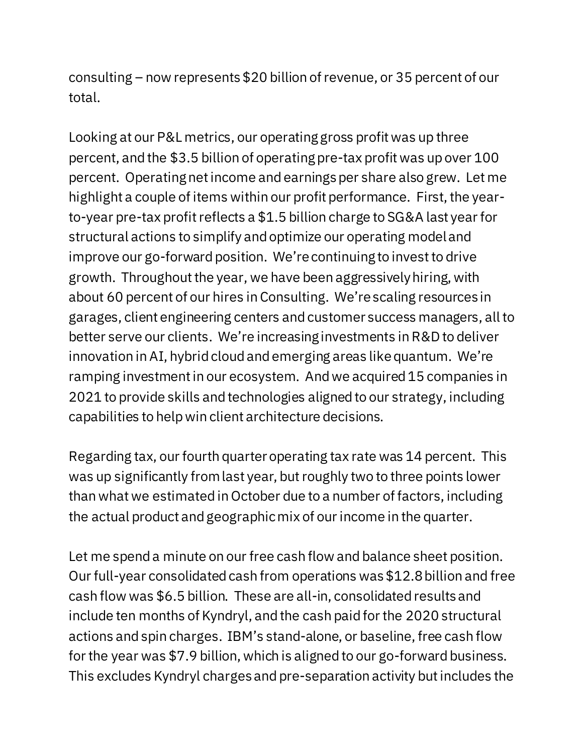consulting – now represents \$20 billion of revenue, or 35 percent of our total.

Looking at our P&L metrics, our operating gross profit was up three percent, and the \$3.5 billion of operating pre-tax profit was up over 100 percent. Operating net income and earnings per share also grew. Let me highlight a couple of items within our profit performance. First, the yearto-year pre-tax profit reflects a \$1.5 billion charge to SG&A last year for structural actions to simplify and optimize our operating model and improve our go-forward position. We're continuing to invest to drive growth. Throughout the year, we have been aggressively hiring, with about 60 percent of our hires in Consulting. We're scaling resources in garages, client engineering centers and customer success managers, all to better serve our clients. We're increasing investments in R&D to deliver innovation in AI, hybrid cloud and emerging areas likequantum. We're ramping investment in our ecosystem. And we acquired 15 companies in 2021 to provide skills and technologies aligned to our strategy, including capabilities to help win client architecture decisions.

Regarding tax, our fourth quarter operating tax rate was 14 percent. This was up significantly from last year, but roughly two to three points lower than what we estimated in October due to a number of factors, including the actual product and geographic mix of our income in the quarter.

Let me spend a minute on our free cash flow and balance sheet position. Our full-year consolidated cash from operations was \$12.8 billion and free cash flow was \$6.5 billion. These are all-in, consolidated results and include ten months of Kyndryl, and the cash paid for the 2020 structural actions and spin charges. IBM's stand-alone, or baseline, free cash flow for the year was \$7.9 billion, which is aligned to our go-forward business. This excludes Kyndryl charges and pre-separation activity but includes the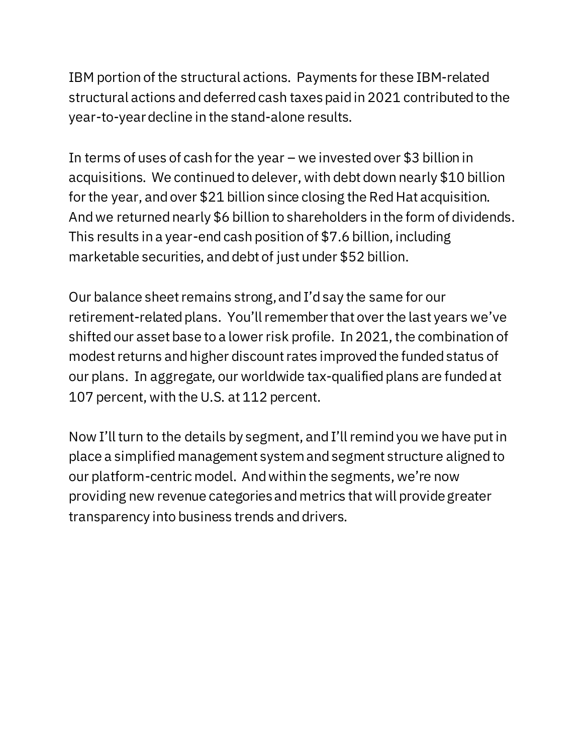IBM portion of the structural actions. Payments for these IBM-related structural actions and deferred cash taxespaid in 2021 contributed to the year-to-year decline in the stand-alone results.

In terms of uses of cash for the year – we invested over \$3 billion in acquisitions. We continued to delever, with debt down nearly \$10 billion for the year, and over \$21 billion since closing the Red Hat acquisition. And we returned nearly \$6 billion to shareholders in the form of dividends. This results in a year-end cash position of \$7.6 billion, including marketable securities, and debt of just under \$52 billion.

Our balance sheet remains strong, and I'd say the same for our retirement-related plans. You'll remember that over the last years we've shifted our asset base to a lower risk profile. In 2021, the combination of modest returns and higher discount rates improved the funded status of our plans. In aggregate, our worldwide tax-qualified plans are funded at 107 percent, with the U.S. at 112 percent.

Now I'll turn to the details by segment, and I'll remind you we have put in place a simplified management system and segment structure aligned to our platform-centric model. And within the segments, we're now providing new revenue categories and metrics that will provide greater transparency into business trends and drivers.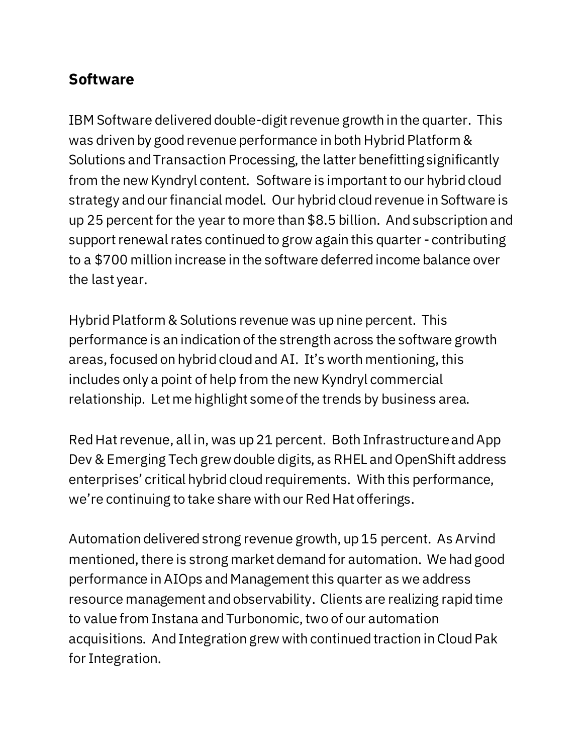#### **Software**

IBM Software delivered double-digit revenue growth in the quarter. This was driven by good revenue performance in both Hybrid Platform & Solutions and Transaction Processing, the latter benefitting significantly from the new Kyndryl content. Software is important to our hybrid cloud strategy and our financial model. Our hybrid cloud revenue in Software is up 25 percentfor the year to more than \$8.5 billion. And subscription and support renewal rates continued to grow again this quarter - contributing to a \$700 million increase in the software deferred income balance over the last year.

Hybrid Platform & Solutions revenue was up nine percent. This performance is an indication of the strength across the software growth areas, focused on hybrid cloud and AI. It's worth mentioning, this includes only a point of help from the new Kyndryl commercial relationship. Let me highlight some of the trends by business area.

Red Hat revenue, all in, was up 21 percent. Both Infrastructure and App Dev & Emerging Tech grew double digits, as RHEL and OpenShift address enterprises' critical hybrid cloud requirements. With this performance, we're continuing to take share with our Red Hat offerings.

Automation delivered strong revenue growth, up 15 percent. As Arvind mentioned, there is strong market demand for automation. We had good performance in AIOps and Management this quarter as we address resource management and observability. Clients are realizing rapid time to value from Instana and Turbonomic, two of our automation acquisitions. And Integration grew with continued traction in Cloud Pak for Integration.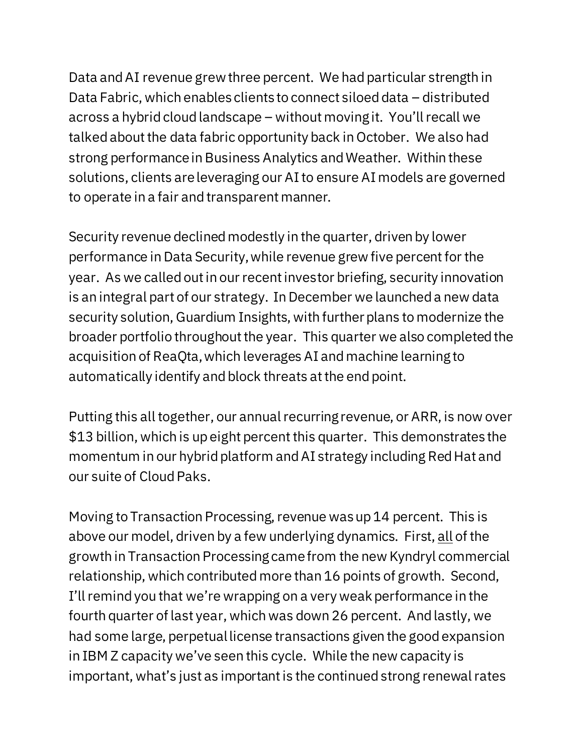Data and AI revenue grewthree percent. We had particular strength in Data Fabric, which enables clients to connect siloed data – distributed across a hybrid cloud landscape – without moving it. You'll recall we talked about the data fabric opportunity back in October. We also had strong performance in Business Analytics and Weather. Within these solutions, clients are leveraging our AI to ensure AI models are governed to operate in a fair and transparent manner.

Security revenue declined modestly in the quarter, driven by lower performance in Data Security, while revenue grew five percent for the year. As we called out in our recent investor briefing, security innovation is an integral part of our strategy. In December we launched a new data security solution, Guardium Insights, with further plans to modernize the broader portfolio throughout the year. This quarter we also completed the acquisition of ReaQta, which leverages AI and machine learning to automatically identify and block threats at the end point.

Putting this all together, our annual recurring revenue, or ARR, is now over \$13 billion, which is up eight percent this quarter. This demonstrates the momentum in our hybrid platform and AI strategy including Red Hat and our suite of Cloud Paks.

Moving to Transaction Processing, revenue was up 14 percent. This is above our model, driven by a few underlying dynamics. First, all of the growth in Transaction Processing came from the new Kyndryl commercial relationship, which contributed more than 16 points of growth. Second, I'll remind you that we're wrapping on a very weak performance in the fourth quarter of last year, which was down 26 percent. And lastly, we had some large, perpetual license transactions given the good expansion in IBM Z capacity we've seen this cycle. While the new capacity is important, what's just as important is the continued strong renewal rates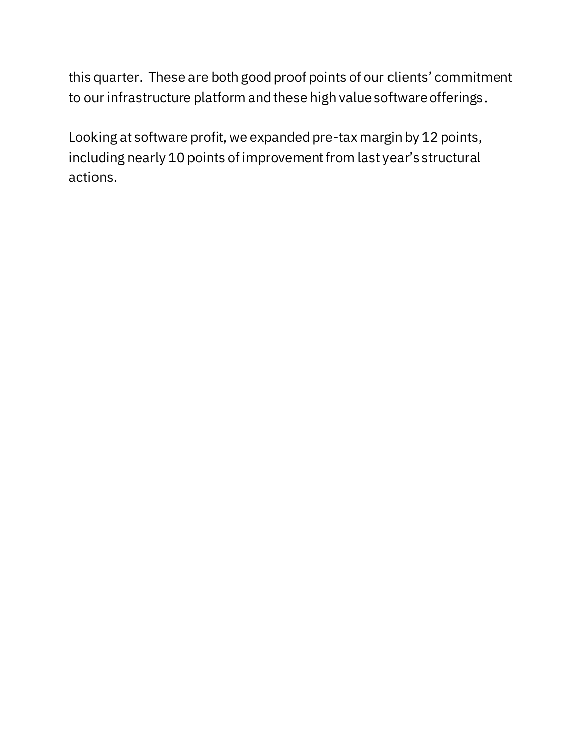this quarter. These are both good proof points of our clients' commitment to our infrastructure platform and these high value software offerings.

Looking at software profit, we expanded pre-tax margin by 12 points, including nearly 10 points of improvement from last year's structural actions.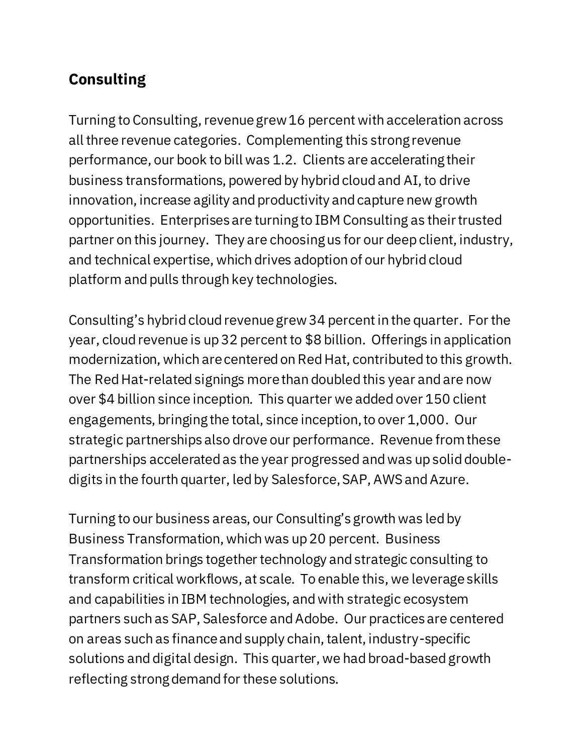## **Consulting**

Turning to Consulting, revenue grew 16 percent with acceleration across all three revenue categories. Complementing this strong revenue performance, our book to bill was 1.2. Clients are accelerating their business transformations, powered by hybrid cloud and AI, to drive innovation, increase agility and productivity and capture new growth opportunities. Enterprises are turning to IBM Consulting as their trusted partner on this journey. They are choosing us for our deep client, industry, and technical expertise, which drives adoption of our hybrid cloud platform and pulls through key technologies.

Consulting's hybrid cloud revenue grew34 percentin the quarter. For the year, cloud revenue is up 32 percent to \$8 billion. Offerings in application modernization, which are centered on Red Hat, contributed to this growth. The Red Hat-related signings more than doubled this year and are now over \$4 billion since inception. This quarter we added over 150 client engagements, bringing the total, since inception, to over 1,000. Our strategic partnerships also drove our performance. Revenue from these partnerships accelerated as the year progressed and was up solid doubledigits in the fourth quarter, led by Salesforce, SAP, AWS and Azure.

Turning to our business areas, our Consulting's growth was led by Business Transformation, which was up 20 percent. Business Transformation brings together technology and strategic consulting to transform critical workflows, at scale. To enable this, we leverageskills and capabilities in IBM technologies, and with strategic ecosystem partners such as SAP, Salesforce and Adobe. Our practices are centered on areas such as finance and supply chain, talent, industry-specific solutions and digital design. This quarter, we had broad-based growth reflecting strong demand for these solutions.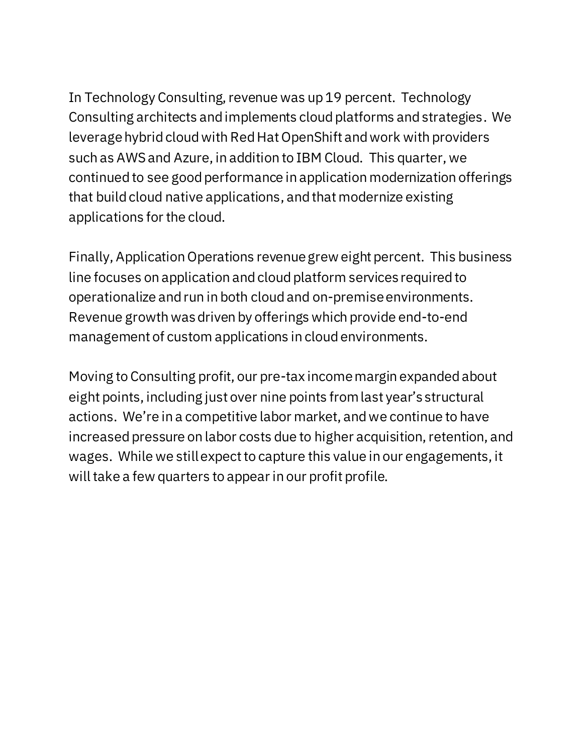In Technology Consulting, revenue was up 19 percent. Technology Consulting architects and implements cloud platforms and strategies. We leverage hybrid cloud with Red Hat OpenShift and work with providers such as AWS and Azure, in addition to IBM Cloud. This quarter, we continued to see good performance in application modernization offerings that build cloud native applications, and that modernize existing applications for the cloud.

Finally, Application Operations revenue grew eight percent. This business line focuses on application and cloud platform services required to operationalize and run in both cloud and on-premise environments. Revenue growth was driven by offerings which provide end-to-end management of custom applications in cloud environments.

Moving to Consulting profit, our pre-tax income margin expanded about eight points, including just over nine points from last year's structural actions. We're in a competitive labor market, and we continue to have increased pressure on labor costs due to higher acquisition, retention, and wages. While we still expect to capture this value in our engagements, it will take a few quarters to appear in our profit profile.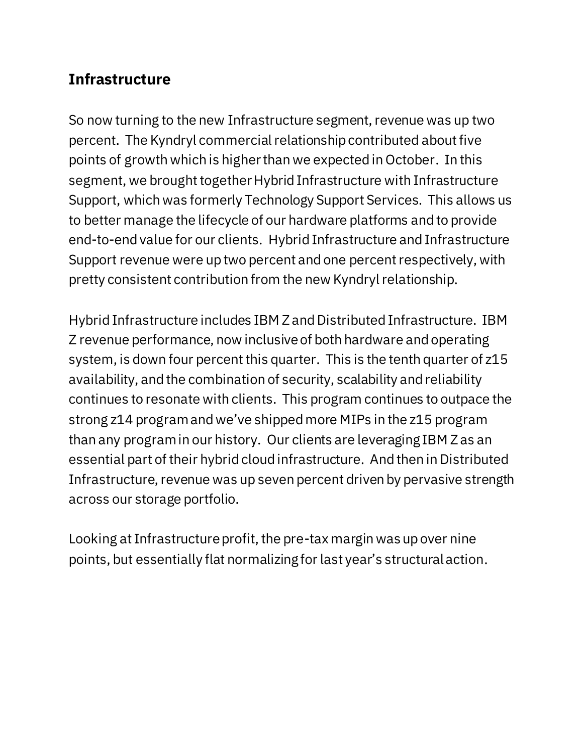#### **Infrastructure**

So now turning to the new Infrastructure segment, revenue was up two percent. The Kyndryl commercial relationship contributed about five points of growth which is higher than we expected in October. In this segment, we brought together Hybrid Infrastructure with Infrastructure Support, which was formerly Technology Support Services. This allows us to better manage the lifecycle of our hardware platforms and to provide end-to-end value for our clients. Hybrid Infrastructure and Infrastructure Support revenue were up two percent and one percent respectively, with pretty consistent contribution from the new Kyndryl relationship.

Hybrid Infrastructure includes IBM Z and Distributed Infrastructure. IBM Z revenue performance, now inclusive of both hardware and operating system, is down four percent this quarter. This is the tenth quarter of z15 availability, and the combination of security, scalability and reliability continues to resonate with clients. This program continues to outpace the strong z14 program and we've shipped more MIPs in the z15 program than any program in our history. Our clients are leveraging IBM Z as an essential part of their hybrid cloud infrastructure. And then in Distributed Infrastructure, revenue was up seven percent driven by pervasive strength across our storage portfolio.

Looking at Infrastructure profit, the pre-tax margin was up over nine points, but essentially flat normalizing for last year's structural action.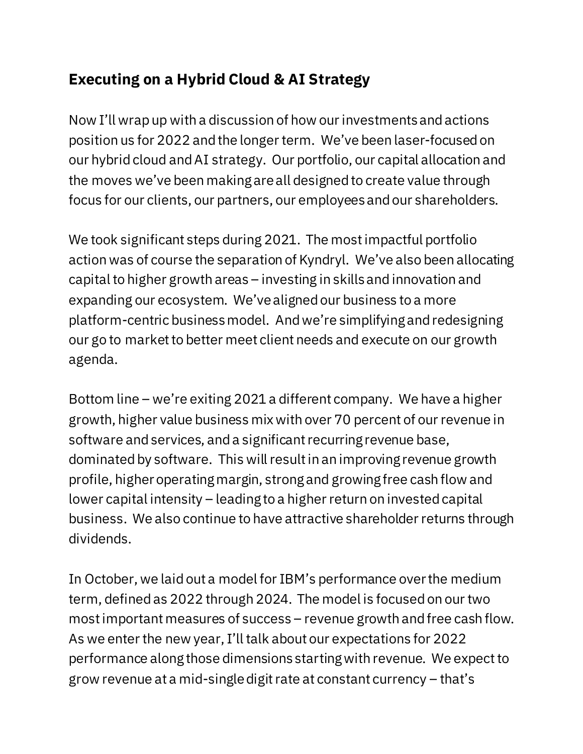## **Executing on a Hybrid Cloud & AI Strategy**

Now I'll wrap up with a discussion of how our investments and actions position us for 2022 and the longer term. We've been laser-focused on our hybrid cloud and AI strategy. Our portfolio, our capital allocation and the moves we've been making are all designed to create value through focus for our clients, our partners, our employees and our shareholders.

We took significant steps during 2021. The most impactful portfolio action was of course the separation of Kyndryl. We've also been allocating capital to higher growth areas – investing in skills and innovation and expanding our ecosystem. We've aligned our business to a more platform-centric business model. And we're simplifying and redesigning our go to market to better meet client needs and execute on our growth agenda.

Bottom line – we're exiting 2021 a different company. We have a higher growth, higher value business mix with over 70 percent of our revenue in software and services, and a significant recurring revenue base, dominated by software. This will result in an improving revenue growth profile, higher operating margin, strong and growing free cash flow and lower capital intensity – leading to a higher return on invested capital business. We also continue to have attractive shareholder returns through dividends.

In October, we laid out a model for IBM's performance over the medium term, defined as 2022 through 2024. The model is focused on our two most important measures of success – revenue growth and free cash flow. As we enter the new year, I'll talk about our expectations for 2022 performance along those dimensions starting with revenue. We expect to grow revenue at a mid-single digit rate at constant currency – that's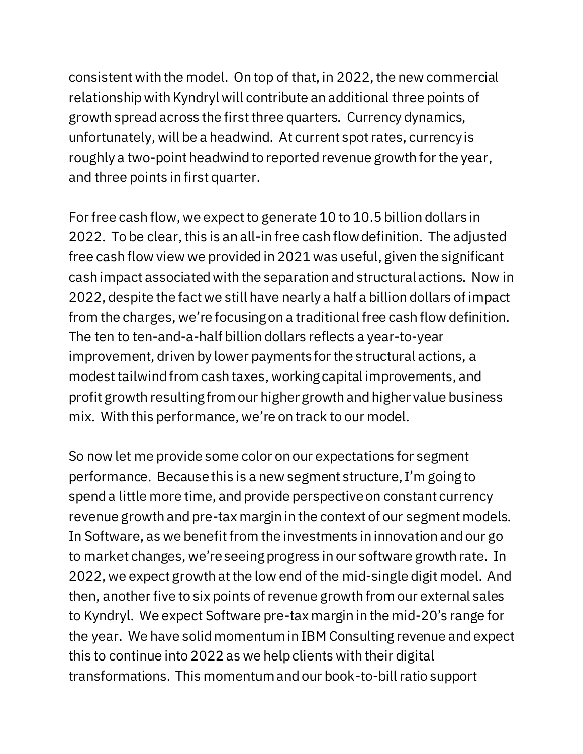consistent with the model. On top of that, in 2022, the new commercial relationship with Kyndryl will contribute an additional three points of growth spread across the first three quarters. Currency dynamics, unfortunately, will be a headwind. At current spot rates, currency is roughly a two-point headwind to reported revenue growth for the year, and three points in first quarter.

For free cash flow, we expect to generate 10 to 10.5 billion dollars in 2022. To be clear, this is an all-in free cash flow definition. The adjusted free cash flow view we provided in 2021 was useful, given the significant cash impact associated with the separation and structural actions. Now in 2022, despite the fact we still have nearly a half a billion dollars of impact from the charges, we're focusing on a traditional free cash flow definition. The ten to ten-and-a-half billion dollars reflects a year-to-year improvement, driven by lower payments for the structural actions, a modest tailwind from cash taxes, working capital improvements, and profit growth resulting from our higher growth and higher value business mix. With this performance, we're on track to our model.

So now let me provide some color on our expectations for segment performance. Because this is a new segment structure, I'm going to spend a little more time, and provide perspective on constant currency revenue growth and pre-tax margin in the context of our segment models. In Software, as we benefit from the investments in innovation and our go to market changes, we're seeing progress in our software growth rate. In 2022, we expect growth at the low end of the mid-single digit model. And then, another five to six points of revenue growth from our external sales to Kyndryl. We expect Software pre-tax margin in the mid-20's range for the year. We have solid momentum in IBM Consulting revenue and expect this to continue into 2022 as we help clients with their digital transformations. This momentum and our book-to-bill ratio support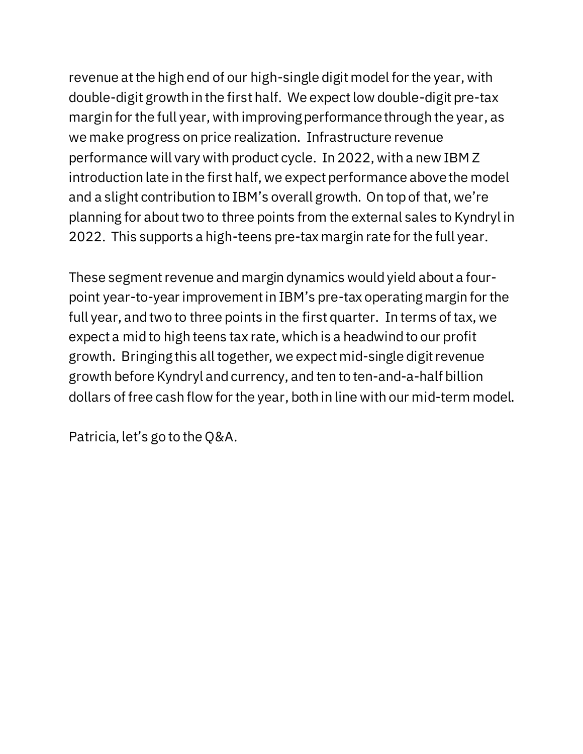revenue at the high end of our high-single digit model for the year, with double-digit growth in the first half. We expect low double-digit pre-tax margin for the full year, with improving performance through the year, as we make progress on price realization. Infrastructure revenue performance will vary with product cycle. In 2022, with a new IBM Z introduction late in the first half, we expect performance above the model and a slight contribution to IBM's overall growth. On top of that, we're planning for about two to three points from the external sales to Kyndryl in 2022. This supports a high-teens pre-tax margin rate for the full year.

These segment revenue and margin dynamics would yield about a fourpoint year-to-year improvement in IBM's pre-tax operating margin for the full year, and two to three points in the first quarter. In terms of tax, we expect a mid to high teens tax rate, which is a headwind to our profit growth. Bringing this all together, we expect mid-single digit revenue growth before Kyndryl and currency, and ten to ten-and-a-half billion dollars of free cash flow for the year, both in line with our mid-term model.

Patricia, let's go to the Q&A.